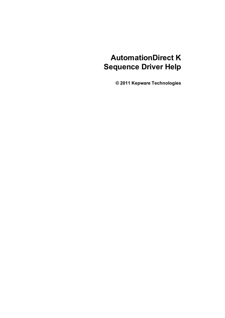# **AutomationDirect K Sequence Driver Help**

**© 2011 Kepware Technologies**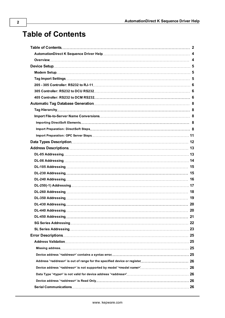# <span id="page-1-0"></span>**Table of Contents**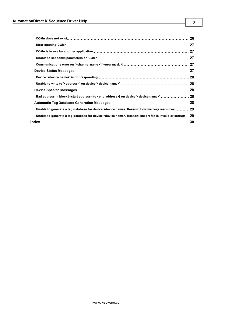| Unable to generate a tag database for device <device name="">. Reason: Low memory resources 29</device>              |    |
|----------------------------------------------------------------------------------------------------------------------|----|
| Unable to generate a tag database for device <device name="">. Reason: Import file is invalid or corrupt 29</device> |    |
|                                                                                                                      | 30 |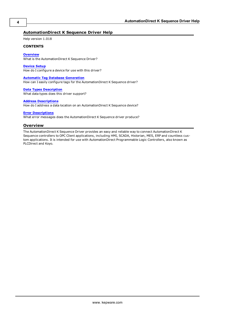# <span id="page-3-0"></span>**AutomationDirect K Sequence Driver Help**

Help version 1.018

#### **CONTENTS**

**[Overview](#page-3-1)** What is the AutomationDirect K Sequence Driver?

**[Device](#page-4-0) [Setup](#page-4-0)** How do I configure a device for use with this driver?

**[Automatic](#page-7-0) [Tag](#page-7-0) [Database](#page-7-0) [Generation](#page-7-0)** How can I easily configure tags for the AutomationDirect K Sequence driver?

**[Data](#page-11-0) [Types](#page-11-0) [Description](#page-11-0)** What data types does this driver support?

#### **[Address](#page-12-0) [Descriptions](#page-12-0)**

How do I address a data location on an AutomationDirect K Sequence device?

#### **[Error](#page-24-0) [Descriptions](#page-24-0)**

<span id="page-3-1"></span>What error messages does the AutomationDirect K Sequence driver produce?

#### **Overview**

The AutomationDirect K Sequence Driver provides an easy and reliable way to connect AutomationDirect K Sequence controllers to OPC Client applications, including HMI, SCADA, Historian, MES, ERP and countless custom applications. It is intended for use with AutomationDirect Programmable Logic Controllers, also known as PLCDirect and Koyo.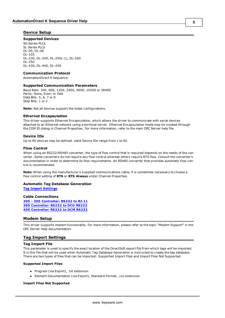# <span id="page-4-0"></span>**Device Setup**

#### **Supported Devices**

SG Series PLCs SL Series PLCs DL-05, DL-06 DL-105 DL-230, DL-240, DL-250(-1), DL-260 DL-350 DL-430, DL-440, DL-450

# **Communication Protocol**

AutomationDirect K Sequence

#### **Supported Communication Parameters**

Baud Rate: 300, 600, 1200, 2400, 9600, 19200 or 38400 Parity: None, Even, or Odd Data Bits: 5, 6, 7 or 8 Stop Bits: 1 or 2

**Note:** Not all devices support the listed configurations.

#### <span id="page-4-5"></span>**Ethernet Encapsulation**

This driver supports Ethernet Encapsulation, which allows the driver to communicate with serial devices attached to an Ethernet network using a terminal server. Ethernet Encapsulation mode may be invoked through the COM ID dialog in Channel Properties. For more information, refer to the main OPC Server help file.

#### <span id="page-4-3"></span>**Device IDs**

Up to 90 devices may be defined. Valid Device IDs range from 1 to 90.

#### **Flow Control**

When using an RS232/RS485 converter, the type of flow control that is required depends on the needs of the converter. Some converters do not require any flow control whereas others require RTS flow. Consult the converter's documentation in order to determine its flow requirements. An RS485 converter that provides automatic flow control is recommended.

**Note:** When using the manufacturer's supplied communications cable, it is sometimes necessary to choose a flow control setting of **RTS** or **RTS Always** under Channel Properties.

#### **Automatic Tag Database Generation**

**[Tag](#page-4-2) [Import](#page-4-2) [Settings](#page-4-2)**

#### **Cable Connections**

**[205](#page-5-0) [-](#page-5-0) [305](#page-5-0) [Controller:](#page-5-0) [RS232](#page-5-0) [to](#page-5-0) [RJ-11](#page-5-0) [305](#page-5-1) [Controller:](#page-5-1) [RS232](#page-5-1) [to](#page-5-1) [DCU](#page-5-1) [RS232](#page-5-1) [405](#page-5-2) [Controller:](#page-5-2) [RS232](#page-5-2) [to](#page-5-2) [DCM](#page-5-2) [RS232](#page-5-2)**

#### <span id="page-4-1"></span>**Modem Setup**

This driver supports modem functionality. For more information, please refer to the topic "Modem Support" in the OPC Server Help documentation.

# <span id="page-4-2"></span>**Tag Import Settings**

#### **Tag Import File**

This parameter is used to specify the exact location of the DirectSoft export file from which tags will be imported. It is this file that will be used when Automatic Tag Database Generation is instructed to create the tag database. There are two types of files that can be imported: Supported Import Files and Import Files Not Supported.

#### **Supported Import Files**

- <span id="page-4-4"></span>• Program (via Export), .txt extension
- Element Documentation (via Export), Standard Format, .csv extension

#### **Import Files Not Supported**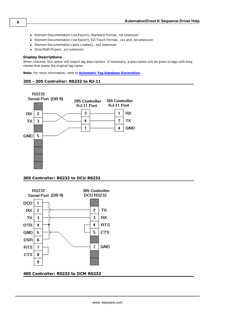- Element Documentation (via Export), Standard Format, .txt extension
- Element Documentation (via Export), EZ-Touch Format, .csv and .txt extension
- Element Documentation (auto created), .esd extension
- DirectSoft Project, .prj extension

#### **Display Descriptions**

When checked, this option will import tag descriptions. If necessary, a description will be given to tags with long names that states the original tag name.

<span id="page-5-0"></span>**Note:** For more information, refer to **[Automatic](#page-7-0) [Tag](#page-7-0) [Database](#page-7-0) [Generation](#page-7-0)**.

# **205 - 305 Controller: RS232 to RJ-11**



# <span id="page-5-1"></span>**305 Controller: RS232 to DCU RS232**



# <span id="page-5-2"></span>**405 Controller: RS232 to DCM RS232**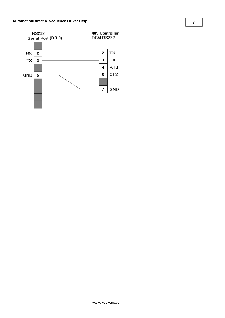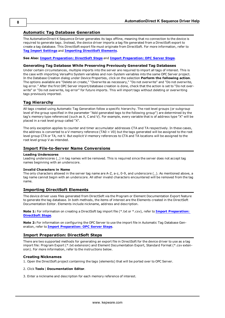# <span id="page-7-0"></span>**Automatic Tag Database Generation**

The AutomationDirect K Sequence Driver generates its tags offline, meaning that no connection to the device is required to generate tags. Instead, the device driver imports a tag file generated from a DirectSoft export to create a tag database. This DirectSoft export file must originate from DirectSoft. For more information, refer to **[Tag](#page-4-2) [Import](#page-4-2) [Settings](#page-4-2)** and **[Importing](#page-7-3) [DirectSoft](#page-7-3) [Elements](#page-7-3)**.

#### **See Also: [Import](#page-7-4) [Preparation:](#page-7-4) [DirectSoft](#page-7-4) [Steps](#page-7-4)** and **[Import](#page-10-0) [Preparation:](#page-10-0) [OPC](#page-10-0) [Server](#page-10-0) [Steps](#page-10-0)**.

#### **Generating Tag Database While Preserving Previously Generated Tag Databases**

Under certain circumstances, multiple imports into the server are required to import all tags of interest. This is the case with importing VersaPro System variables and non-System variables into the same OPC Server project. In the Database Creation dialog under Device Properties, click on the selection **Perform the following action**. The options available are "Delete on create," "Overwrite as necessary," "Do not overwrite" and "Do not overwrite, log error." After the first OPC Server import/database creation is done, check that the action is set to "Do not overwrite" or "Do not overwrite, log error" for future imports. This will import tags without deleting or overwriting tags previously imported.

# <span id="page-7-1"></span>**Tag Hierarchy**

All tags created using Automatic Tag Generation follow a specific hierarchy. The root level groups (or subgroup level of the group specified in the parameter "Add generated tags to the following group") are determined by the tag's memory type referenced (such as X, C and V). For example, every variable that is of address type "X" will be placed in a root level group called "X".

The only exception applies to counter and timer accumulator addresses CTA and TA respectively. In these cases, the address is converted to a V-memory reference (TA0 = V0) but the tags generated will be assigned to the root level group CTA or TA, not V. But explicit V-memory references to CTA and TA locations will be assigned to the root level group V as intended.

#### <span id="page-7-2"></span>**Import File-to-Server Name Conversions**

#### **Leading Underscores**

Leading underscores (\_) in tag names will be removed. This is required since the server does not accept tag names beginning with an underscore.

#### **Invalid Characters in Name**

The only characters allowed in the server tag name are A-Z, a-z, 0-9, and underscore (\_). As mentioned above, a tag name cannot begin with an underscore. All other invalid characters encountered will be removed from the tag name.

# <span id="page-7-3"></span>**Importing DirectSoft Elements**

The device driver uses files generated from DirectSoft via the Program or Element Documentation Export feature to generate the tag database. In both methods, the items of interest are the Elements created in the DirectSoft Documentation Editor. Elements include nickname, address and description.

**Note 1:** For information on creating a DirectSoft tag import file (\*.txt or \*.csv), refer to **[Import](#page-7-4) [Preparation:](#page-7-4) [DirectSoft](#page-7-4) [Steps](#page-7-4)**.

**Note 2:** For information on configuring the OPC Server to use the import file in Automatic Tag Database Generation, refer to **[Import](#page-10-0) [Preparation:](#page-10-0) [OPC](#page-10-0) [Server](#page-10-0) [Steps](#page-10-0)**.

# <span id="page-7-4"></span>**Import Preparation: DirectSoft Steps**

There are two supported methods for generating an export file in DirectSoft for the device driver to use as a tag import file: Program Export (\*.txt extension) and Element Documentation Export, Standard Format (\*.csv extension). For more information, refer to the instructions below.

# **Creating Nicknames**

1. Open the DirectSoft project containing the tags (elements) that will be ported over to OPC Server.

#### 2. Click **Tools** | **Documentation Editor**.

3. Enter a nickname and description for each memory reference of interest.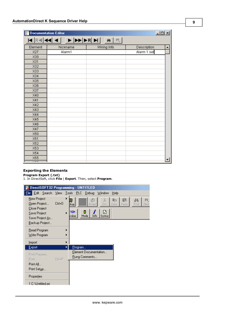| $L = 1$<br>Documentation Editor |          |             |             |                          |  |
|---------------------------------|----------|-------------|-------------|--------------------------|--|
|                                 |          | 鱼           |             |                          |  |
| Element                         | Nickname | Wiring Info | Description |                          |  |
| X27                             | Alarm1   |             | Alarm 1 set |                          |  |
| X30                             |          |             |             |                          |  |
| X31                             |          |             |             |                          |  |
| X32                             |          |             |             |                          |  |
| X33                             |          |             |             |                          |  |
| X34                             |          |             |             |                          |  |
| X35                             |          |             |             |                          |  |
| X36                             |          |             |             |                          |  |
| X37                             |          |             |             |                          |  |
| X40                             |          |             |             |                          |  |
| X41                             |          |             |             |                          |  |
| X42                             |          |             |             |                          |  |
| X43                             |          |             |             |                          |  |
| X44                             |          |             |             |                          |  |
| X45                             |          |             |             |                          |  |
| X46                             |          |             |             |                          |  |
| X47                             |          |             |             |                          |  |
| X50                             |          |             |             |                          |  |
| X51                             |          |             |             |                          |  |
| X52                             |          |             |             |                          |  |
| X53                             |          |             |             |                          |  |
| X54                             |          |             |             |                          |  |
| X55<br>$\overline{\cdots}$      |          |             |             | $\overline{\phantom{a}}$ |  |

# **Exporting the Elements**

**Program Export (.txt)**

1. In DirectSoft, click **File** | **Export**. Then, select **Program**.

|                                                                                 |              | DirectSOFT32 Programming - UNTITLED                                                                                                    |
|---------------------------------------------------------------------------------|--------------|----------------------------------------------------------------------------------------------------------------------------------------|
| File:                                                                           |              | Edit Search View Tools PLC Debug<br>Window<br>Help                                                                                     |
| New Project<br>Open Project<br>Close Project<br>Save Project<br>Save Project As | Ctrl+0       | X<br>醢<br>Ŀ<br>44<br>-e<br>Cut<br><b>Ekup</b><br>Find<br>Copy<br>Paste<br>Nex<br>Accept<br>Y2*<br>И<br>Value<br>Info<br>Mode<br>Syntax |
| Backup Project<br>Read Program<br>Write Program                                 |              |                                                                                                                                        |
| Import                                                                          |              |                                                                                                                                        |
| Export                                                                          |              | <u>P</u> rogram                                                                                                                        |
| Print Preview<br>Print                                                          | $C$ trl+ $P$ | Element Documentation<br>Rung Comments                                                                                                 |
| Print All<br>Print Setup                                                        |              |                                                                                                                                        |
| Properties                                                                      |              |                                                                                                                                        |
| 1 C:\Untitled.pri                                                               |              |                                                                                                                                        |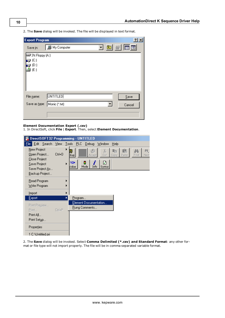2. The **Save** dialog will be invoked. The file will be displayed in text format.

| <b>Export Program</b>       |                 |  | $ ?  \times$ |  |
|-----------------------------|-----------------|--|--------------|--|
| Save in:                    | 鳳 My Computer   |  | 可回酬同国        |  |
| ⊒ 3½ Floppy (A:)            |                 |  |              |  |
| @ (C:)<br>@ (D:)            |                 |  |              |  |
| (E)<br>ь                    |                 |  |              |  |
|                             |                 |  |              |  |
| File name:                  | <b>UNTITLED</b> |  | Save         |  |
| Save as type: Monic (*.txt) |                 |  | Cancel       |  |
|                             |                 |  |              |  |

#### **Element Documentation Export (.csv)**

1. In DirectSoft, click **File** | **Export**. Then, select **Element Documentation**.



2. The **Save** dialog will be invoked. Select **Comma Delimited (\*.csv) and Standard Format**: any other format or file type will not import properly. The file will be in comma separated variable format.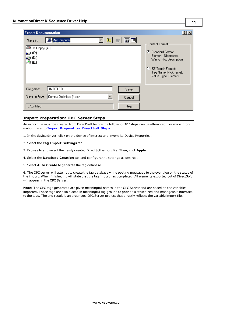| <b>Export Documentation</b>                                                                        | ?                                                                                                                                                                         |
|----------------------------------------------------------------------------------------------------|---------------------------------------------------------------------------------------------------------------------------------------------------------------------------|
| Q © ⊯<br>圃圃<br>My Computer<br>Save in:<br>■3½ Floppy (A:)<br>IŞ (C)<br>- (D:)<br>$\triangleq$ (E:) | Content Format:<br>Ø<br><b>Standard Format:</b><br>Element, Nickname,<br>Wiring Info, Description<br>O<br>EZ-Touch Format:<br>Tag Name (Nickname),<br>Value Type, Element |
| UNTITLED<br>File name:<br>$S$ ave<br>Comma Delimited [*.csv]<br>Save as type:<br>Cancel            |                                                                                                                                                                           |
| $He$ lp<br>c:\untitled                                                                             |                                                                                                                                                                           |

# <span id="page-10-0"></span>**Import Preparation: OPC Server Steps**

An export file must be created from DirectSoft before the following OPC steps can be attempted. For more information, refer to **[Import](#page-7-4) [Preparation:](#page-7-4) [DirectSoft](#page-7-4) [Steps](#page-7-4)**.

1. In the device driver, click on the device of interest and invoke its Device Properties.

- 2. Select the **Tag Import Settings** tab.
- 3. Browse to and select the newly created DirectSoft export file. Then, click **Apply**.
- 4. Select the **Database Creation** tab and configure the settings as desired.
- 5. Select **Auto Create** to generate the tag database.

6. The OPC server will attempt to create the tag database while posting messages to the event log on the status of the import. When finished, it will state that the tag import has completed. All elements exported out of DirectSoft will appear in the OPC Server.

**Note:** The OPC tags generated are given meaningful names in the OPC Server and are based on the variables imported. These tags are also placed in meaningful tag groups to provide a structured and manageable interface to the tags. The end result is an organized OPC Server project that directly reflects the variable import file.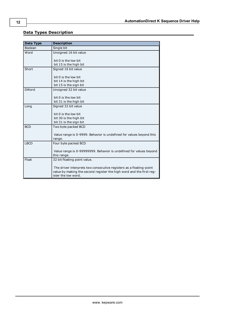# <span id="page-11-0"></span>**Data Types Description**

<span id="page-11-8"></span><span id="page-11-7"></span><span id="page-11-6"></span><span id="page-11-5"></span><span id="page-11-4"></span><span id="page-11-3"></span><span id="page-11-2"></span><span id="page-11-1"></span>

| <b>Data Type</b> | <b>Description</b>                                                                          |
|------------------|---------------------------------------------------------------------------------------------|
| Boolean          | Single bit                                                                                  |
| Word             | Unsigned 16 bit value                                                                       |
|                  | bit 0 is the low bit                                                                        |
|                  | bit 15 is the high bit                                                                      |
| Short            | Signed 16 bit value                                                                         |
|                  | bit 0 is the low bit                                                                        |
|                  | bit 14 is the high bit                                                                      |
|                  | bit 15 is the sign bit                                                                      |
| <b>DWord</b>     | Unsigned 32 bit value                                                                       |
|                  | bit 0 is the low bit                                                                        |
|                  | bit 31 is the high bit                                                                      |
| Long             | Signed 32 bit value                                                                         |
|                  | bit 0 is the low bit                                                                        |
|                  | bit 30 is the high bit                                                                      |
|                  | bit 31 is the sign bit                                                                      |
| <b>BCD</b>       | Two byte packed BCD                                                                         |
|                  | Value range is 0-9999. Behavior is undefined for values beyond this                         |
|                  | range.                                                                                      |
| <b>LBCD</b>      | Four byte packed BCD                                                                        |
|                  | Value range is 0-99999999. Behavior is undefined for values beyond                          |
|                  | this range.                                                                                 |
| Float            | 32 bit floating point value.                                                                |
|                  | The driver interprets two consecutive registers as a floating-point                         |
|                  | value by making the second register the high word and the first reg-<br>ister the low word. |
|                  |                                                                                             |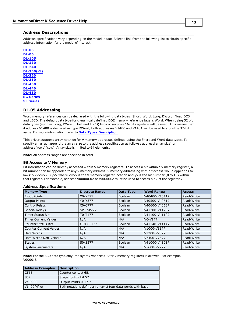# <span id="page-12-0"></span>**Address Descriptions**

Address specifications vary depending on the model in use. Select a link from the following list to obtain specific address information for the model of interest.

**[DL-05](#page-12-1) [DL-06](#page-13-0) [DL-105](#page-14-0) [DL-230](#page-14-1) [DL-240](#page-15-0) [DL-250\(-1\)](#page-16-0) [DL-260](#page-17-0) [DL-350](#page-18-0) [DL-430](#page-19-0) [DL-440](#page-19-1) [DL-450](#page-20-0) [SG](#page-21-0) [Series](#page-21-0) [SL](#page-22-0) [Series](#page-22-0)**

# <span id="page-12-1"></span>**DL-05 Addressing**

Word memory references can be declared with the following data types: Short, Word, Long, DWord, Float, BCD and LBCD. The default data type for dynamically defined DDE memory reference tags is Word. When using 32 bit data types (such as Long, DWord, Float and LBCD) two consecutive 16-bit registers will be used. This means that if address V1400 is declared as type DWord, both addresses V1400 and V1401 will be used to store the 32-bit value. For more information, refer to **[Data](#page-11-0) [Types](#page-11-0) [Description](#page-11-0)**.

This driver supports array notation for V memory addresses defined using the Short and Word data types. To specify an array, append the array size to the address specification as follows: address[array size] or address[rows][cols]. Array size is limited to 64 elements.

**Note:** All address ranges are specified in octal.

#### **Bit Access to V Memory**

Bit information can be directly accessed within V memory registers. To access a bit within a V memory register, a bit number can be appended to any V memory address. V memory addressing with bit access would appear as follows: V<xxxxx>.<yy> where xxxxx is the V memory register location and yy is the bit number (0 to 15) within that register. For example, address V00000.02 or V00000.2 must be used to access bit 2 of the register V00000.

| <b>Memory Type</b>            | <b>Discrete Range</b>            | Data Type      | <b>Word Range</b> | <b>Access</b> |
|-------------------------------|----------------------------------|----------------|-------------------|---------------|
| <b>Input Points</b>           | X0-X377                          | <b>Boolean</b> | V40400-V40417     | Read/Write    |
| <b>Output Points</b>          | Y0-Y377                          | <b>Boolean</b> | V40500-V40517     | Read/Write    |
| Control Relays                | C <sub>0</sub> -C <sub>777</sub> | <b>Boolean</b> | V40600-V40637     | Read/Write    |
| <b>Special Relays</b>         | SP0-SP777                        | <b>Boolean</b> | V41200-V41237     | Read/Write    |
| <b>Timer Status Bits</b>      | T0-T177                          | <b>Boolean</b> | V41100-V41107     | Read/Write    |
| <b>Timer Current Values</b>   | N/A                              | N/A            | $V0-V177$         | Read/Write    |
| <b>Counter Status Bits</b>    | CT0-CT177                        | <b>Boolean</b> | V41140-V41147     | Read/Write    |
| <b>Counter Current Values</b> | N/A                              | N/A            | V1000-V1177       | Read/Write    |
| Data Words                    | N/A                              | N/A            | V1200-V7377       | Read/Write    |
| Data Words Non-Volatile       | N/A                              | N/A            | V7400-V7577       | Read/Write    |
| <b>Stages</b>                 | S0-S377                          | <b>Boolean</b> | V41000-V41017     | Read/Write    |
| <b>System Parameters</b>      | N/A                              | N/A            | V7600-V7777       | Read/Write    |

#### **Address Specifications**

**Note:** For the BCD data type only, the syntax Vaddress:B for V memory registers is allowed. For example, V0000:B.

| <b>Address Examples</b> | <b>Description</b>                                          |
|-------------------------|-------------------------------------------------------------|
| CT65                    | Counter contact 65.                                         |
| $\overline{\text{S}57}$ | Stage control bit 57.                                       |
| V40500                  | Output Points 0-17.*                                        |
| V1400[4] or             | Both notations define an array of four data words with base |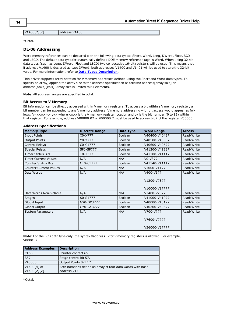V1400[2][2] address V1400.

<span id="page-13-0"></span>\*Octal.

# **DL-06 Addressing**

Word memory references can be declared with the following data types: Short, Word, Long, DWord, Float, BCD and LBCD. The default data type for dynamically defined DDE memory reference tags is Word. When using 32 bit data types (such as Long, DWord, Float and LBCD) two consecutive 16-bit registers will be used. This means that if address V1400 is declared as type DWord, both addresses V1400 and V1401 will be used to store the 32-bit value. For more information, refer to **[Data](#page-11-0) [Types](#page-11-0) [Description](#page-11-0)**.

This driver supports array notation for V memory addresses defined using the Short and Word data types. To specify an array, append the array size to the address specification as follows: address[array size] or address[rows][cols]. Array size is limited to 64 elements.

**Note:** All address ranges are specified in octal.

#### **Bit Access to V Memory**

Bit information can be directly accessed within V memory registers. To access a bit within a V memory register, a bit number can be appended to any V memory address. V memory addressing with bit access would appear as follows: V<xxxxx>.<yy> where xxxxx is the V memory register location and yy is the bit number (0 to 15) within that register. For example, address V00000.02 or V00000.2 must be used to access bit 2 of the register V00000.

#### **Address Specifications**

| <b>Memory Type</b>            | <b>Discrete Range</b> | Data Type      | <b>Word Range</b> | <b>Access</b> |
|-------------------------------|-----------------------|----------------|-------------------|---------------|
| <b>Input Points</b>           | X0-X777               | Boolean        | V40400-V40437     | Read/Write    |
| <b>Output Points</b>          | Y0-Y777               | Boolean        | V40500-V40537     | Read/Write    |
| Control Relays                | C0-C1777              | Boolean        | V40600-V40677     | Read/Write    |
| <b>Special Relays</b>         | SP0-SP777             | Boolean        | V41200-V41237     | Read/Write    |
| Timer Status Bits             | T0-T377               | Boolean        | V41100-V41117     | Read/Write    |
| <b>Timer Current Values</b>   | N/A                   | N/A            | $V0-V377$         | Read/Write    |
| <b>Counter Status Bits</b>    | CT0-CT177             | Boolean        | V41140-V41147     | Read/Write    |
| <b>Counter Current Values</b> | N/A                   | N/A            | V1000-V1177       | Read/Write    |
| Data Words                    | N/A                   | N/A            | V400-V677         | Read/Write    |
|                               |                       |                | V1200-V7377       |               |
|                               |                       |                | V10000-V17777     |               |
| Data Words Non-Volatile       | N/A                   | N/A            | V7400-V7577       | Read/Write    |
| <b>Stages</b>                 | S0-S1777              | Boolean        | V41000-V41077     | Read/Write    |
| Global Input                  | GX0-GX3777            | <b>Boolean</b> | V40000-V40177     | Read/Write    |
| Global Output                 | GY0-GY3777            | Boolean        | V40200-V40377     | Read/Write    |
| <b>System Parameters</b>      | N/A                   | N/A            | V700-V777         | Read/Write    |
|                               |                       |                | V7600-V7777       |               |
|                               |                       |                | V36000-V37777     |               |

**Note:** For the BCD data type only, the syntax Vaddress:B for V memory registers is allowed. For example, V0000:B.

| <b>Address Examples</b>    | <b>Description</b>                                                            |
|----------------------------|-------------------------------------------------------------------------------|
| CT <sub>65</sub>           | Counter contact 65.                                                           |
| S57                        | Stage control bit 57.                                                         |
| V40500                     | Output Points 0-17.*                                                          |
| V1400[4] or<br>V1400[2][2] | Both notations define an array of four data words with base<br>address V1400. |

\*Octal.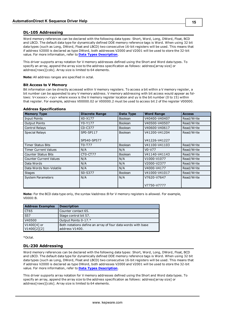# <span id="page-14-0"></span>**DL-105 Addressing**

Word memory references can be declared with the following data types: Short, Word, Long, DWord, Float, BCD and LBCD. The default data type for dynamically defined DDE memory reference tags is Word. When using 32 bit data types (such as Long, DWord, Float and LBCD) two consecutive 16-bit registers will be used. This means that if address V2000 is declared as type DWord, both addresses V2000 and V2001 will be used to store the 32-bit value. For more information, refer to **[Data](#page-11-0) [Types](#page-11-0) [Description](#page-11-0)**.

This driver supports array notation for V memory addresses defined using the Short and Word data types. To specify an array, append the array size to the address specification as follows: address[array size] or address[rows][cols]. Array size is limited to 64 elements.

**Note:** All address ranges are specified in octal.

#### **Bit Access to V Memory**

Bit information can be directly accessed within V memory registers. To access a bit within a V memory register, a bit number can be appended to any V memory address. V memory addressing with bit access would appear as follows: V<xxxxx>.<yy> where xxxxx is the V memory register location and yy is the bit number (0 to 15) within that register. For example, address V00000.02 or V00000.2 must be used to access bit 2 of the register V00000.

| <b>Memory Type</b>            | <b>Discrete Range</b>            | Data Type      | <b>Word Range</b> | <b>Access</b> |
|-------------------------------|----------------------------------|----------------|-------------------|---------------|
| <b>Input Points</b>           | X0-X177                          | <b>Boolean</b> | V40400-V40407     | Read/Write    |
| <b>Output Points</b>          | Y0-Y177                          | <b>Boolean</b> | V40500-V40507     | Read/Write    |
| Control Relays                | C <sub>0</sub> -C <sub>377</sub> | Boolean        | V40600-V40617     | Read/Write    |
| <b>Special Relays</b>         | SP0-SP117                        | Boolean        | V41200-V41204     | Read/Write    |
|                               | SP540-SP577                      |                | V41226-V41227     |               |
| Timer Status Bits             | T0-T77                           | Boolean        | V41100-V41103     | Read/Write    |
| <b>Timer Current Values</b>   | N/A                              | N/A            | $V0-V77$          | Read/Write    |
| <b>Counter Status Bits</b>    | CT0-CT77                         | Boolean        | V41140-V41143     | Read/Write    |
| <b>Counter Current Values</b> | N/A                              | N/A            | V1000-V1077       | Read/Write    |
| Data Words                    | N/A                              | N/A            | V2000-V2377       | Read/Write    |
| Data Words Non-Volatile       | N/A                              | N/A            | V4000-V4177       | Read/Write    |
| <b>Stages</b>                 | S0-S377                          | Boolean        | V41000-V41017     | Read/Write    |
| <b>System Parameters</b>      | N/A                              | N/A            | V7620-V7647       | Read/Write    |
|                               |                                  |                | V7750-V7777       |               |

#### **Address Specifications**

**Note:** For the BCD data type only, the syntax Vaddress:B for V memory registers is allowed. For example, V0000:B.

| <b>Address Examples</b>    | <b>Description</b>                                                            |
|----------------------------|-------------------------------------------------------------------------------|
| CT65                       | Counter contact 65.                                                           |
| $\overline{S57}$           | Stage control bit 57.                                                         |
| V40500                     | Output Points 0-17.*                                                          |
| V1400[4] or<br>V1400[2][2] | Both notations define an array of four data words with base<br>address V1400. |

<span id="page-14-1"></span>\*Octal.

# **DL-230 Addressing**

Word memory references can be declared with the following data types: Short, Word, Long, DWord, Float, BCD and LBCD. The default data type for dynamically defined DDE memory reference tags is Word. When using 32 bit data types (such as Long, DWord, Float and LBCD) two consecutive 16-bit registers will be used. This means that if address V2000 is declared as type DWord, both addresses V2000 and V2001 will be used to store the 32-bit value. For more information, refer to **[Data](#page-11-0) [Types](#page-11-0) [Description](#page-11-0)**.

This driver supports array notation for V memory addresses defined using the Short and Word data types. To specify an array, append the array size to the address specification as follows: address[array size] or address[rows][cols]. Array size is limited to 64 elements.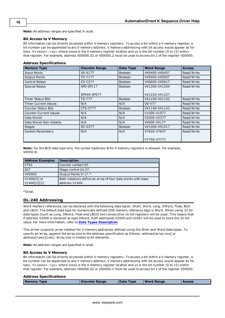**Note:** All address ranges are specified in octal.

#### **Bit Access to V Memory**

Bit information can be directly accessed within V memory registers. To access a bit within a V memory register, a bit number can be appended to any V memory address. V memory addressing with bit access would appear as follows: V<xxxxx>.<yy> where xxxxx is the V memory register location and yy is the bit number (0 to 15) within that register. For example, address V00000.02 or V00000.2 must be used to access bit 2 of the register V00000.

#### **Address Specifications**

| <b>Memory Type</b>            | <b>Discrete Range</b>            | Data Type      | <b>Word Range</b> | <b>Access</b> |
|-------------------------------|----------------------------------|----------------|-------------------|---------------|
| <b>Input Points</b>           | X0-X177                          | <b>Boolean</b> | V40400-V40407     | Read/Write    |
| <b>Output Points</b>          | Y0-Y177                          | <b>Boolean</b> | V40500-V40507     | Read/Write    |
| Control Relays                | C <sub>0</sub> -C <sub>377</sub> | <b>Boolean</b> | V40600-V40617     | Read/Write    |
| <b>Special Relays</b>         | SP0-SP117                        | <b>Boolean</b> | V41200-V41204     | Read/Write    |
|                               |                                  |                |                   |               |
|                               | SP540-SP577                      |                | V41226-V41227     |               |
| Timer Status Bits             | T0-T77                           | <b>Boolean</b> | V41100-V41103     | Read/Write    |
| <b>Timer Current Values</b>   | N/A                              | N/A            | $V0-V77$          | Read/Write    |
| <b>Counter Status Bits</b>    | CT0-CT77                         | Boolean        | V41140-V41143     | Read/Write    |
| <b>Counter Current Values</b> | N/A                              | N/A            | V1000-V1077       | Read/Write    |
| Data Words                    | N/A                              | N/A            | V2000-V2377       | Read/Write    |
| Data Words Non-Volatile       | N/A                              | N/A            | V4000-V4177       | Read/Write    |
| <b>Stages</b>                 | S0-S377                          | <b>Boolean</b> | V41000-V41017     | Read/Write    |
| <b>System Parameters</b>      | N/A                              | N/A            | V7620-V7647       | Read/Write    |
|                               |                                  |                | V7750-V7777       |               |
|                               |                                  |                |                   |               |

**Note:** For the BCD data type only, the syntax Vaddress:B for V memory registers is allowed. For example, V0000:B.

| <b>Address Examples</b>    | <b>Description</b>                                                            |
|----------------------------|-------------------------------------------------------------------------------|
| CT65                       | Counter contact 65.                                                           |
| $\overline{S57}$           | Stage control bit 57.                                                         |
| V40500                     | Output Points 0-17.*                                                          |
| V1400[4] or<br>V1400[2][2] | Both notations define an array of four data words with base<br>address V1400. |

<span id="page-15-0"></span>\*Octal.

# **DL-240 Addressing**

Word memory references can be declared with the following data types: Short, Word, Long, DWord, Float, BCD and LBCD. The default data type for dynamically defined DDE memory reference tags is Word. When using 32 bit data types (such as Long, DWord, Float and LBCD) two consecutive 16-bit registers will be used. This means that if address V2000 is declared as type DWord, both addresses V2000 and V2001 will be used to store the 32-bit value. For more information, refer to **[Data](#page-11-0) [Types](#page-11-0) [Description](#page-11-0)**.

This driver supports array notation for V memory addresses defined using the Short and Word data types. To specify an array, append the array size to the address specification as follows: address[array size] or address[rows][cols]. Array size is limited to 64 elements.

**Note:** All address ranges are specified in octal.

# **Bit Access to V Memory**

Bit information can be directly accessed within V memory registers. To access a bit within a V memory register, a bit number can be appended to any V memory address. V memory addressing with bit access would appear as follows: V<xxxxx>.<yy> where xxxxx is the V memory register location and yy is the bit number (0 to 15) within that register. For example, address V00000.02 or V00000.2 must be used to access bit 2 of the register V00000.

#### **Address Specifications**

| <b>Memory Type</b> | <b>Discrete Range</b> | Data Type | <b>Word Range</b> | <b>Access</b> |
|--------------------|-----------------------|-----------|-------------------|---------------|
|                    |                       |           |                   |               |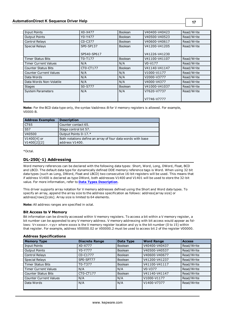# **AutomationDirect K Sequence Driver Help**

| <b>Input Points</b>           | X0-X477                          | Boolean        | V40400-V40423 | Read/Write |
|-------------------------------|----------------------------------|----------------|---------------|------------|
| <b>Output Points</b>          | Y0-Y477                          | Boolean        | V40500-V40523 | Read/Write |
| Control Relays                | C <sub>0</sub> -C <sub>377</sub> | <b>Boolean</b> | V40600-V40617 | Read/Write |
| <b>Special Relays</b>         | SP0-SP137                        | Boolean        | V41200-V41205 | Read/Write |
|                               |                                  |                |               |            |
|                               | SP540-SP617                      |                | V41226-V41230 |            |
| <b>Timer Status Bits</b>      | T0-T177                          | Boolean        | V41100-V41107 | Read/Write |
| <b>Timer Current Values</b>   | N/A                              | N/A            | $V0-V177$     | Read/Write |
| <b>Counter Status Bits</b>    | CT0-CT177                        | Boolean        | V41140-V41147 | Read/Write |
| <b>Counter Current Values</b> | N/A                              | N/A            | V1000-V1177   | Read/Write |
| Data Words                    | N/A                              | N/A            | V2000-V3777   | Read/Write |
| Data Words Non-Volatile       | N/A                              | N/A            | V4000-V4377   | Read/Write |
| <b>Stages</b>                 | S0-S777                          | Boolean        | V41000-V41037 | Read/Write |
| <b>System Parameters</b>      | N/A                              | N/A            | V7620-V7737   | Read/Write |
|                               |                                  |                |               |            |
|                               |                                  |                | V7746-V7777   |            |

**Note:** For the BCD data type only, the syntax Vaddress:B for V memory registers is allowed. For example, V0000:B.

| <b>Address Examples</b>    | <b>Description</b>                                                            |
|----------------------------|-------------------------------------------------------------------------------|
| CT65                       | Counter contact 65.                                                           |
| $\overline{S57}$           | Stage control bit 57.                                                         |
| V40500                     | Output Points 0-17 *                                                          |
| V1400[4] or<br>V1400[2][2] | Both notations define an array of four data words with base<br>address V1400. |

<span id="page-16-0"></span>\*Octal.

# **DL-250(-1) Addressing**

Word memory references can be declared with the following data types: Short, Word, Long, DWord, Float, BCD and LBCD. The default data type for dynamically defined DDE memory reference tags is Word. When using 32 bit data types (such as Long, DWord, Float and LBCD) two consecutive 16-bit registers will be used. This means that if address V1400 is declared as type DWord, both addresses V1400 and V1401 will be used to store the 32-bit value. For more information, refer to **[Data](#page-11-0) [Types](#page-11-0) [Description](#page-11-0)**.

This driver supports array notation for V memory addresses defined using the Short and Word data types. To specify an array, append the array size to the address specification as follows: address[array size] or address[rows][cols]. Array size is limited to 64 elements.

**Note:** All address ranges are specified in octal.

# **Bit Access to V Memory**

Bit information can be directly accessed within V memory registers. To access a bit within a V memory register, a bit number can be appended to any V memory address. V memory addressing with bit access would appear as follows: V<xxxxx>.<yy> where xxxxx is the V memory register location and yy is the bit number (0 to 15) within that register. For example, address V00000.02 or V00000.2 must be used to access bit 2 of the register V00000.

| <b>Memory Type</b>            | <b>Discrete Range</b> | Data Type      | <b>Word Range</b> | <b>Access</b> |
|-------------------------------|-----------------------|----------------|-------------------|---------------|
| <b>Input Points</b>           | X0-X777               | Boolean        | V40400-V40437     | Read/Write    |
| <b>Output Points</b>          | Y0-Y777               | <b>Boolean</b> | V40500-V40537     | Read/Write    |
| Control Relays                | C0-C1777              | <b>Boolean</b> | V40600-V40677     | Read/Write    |
| Special Relays                | SP0-SP777             | Boolean        | V41200-V41237     | Read/Write    |
| <b>Timer Status Bits</b>      | T0-T377               | Boolean        | V41100-V41117     | Read/Write    |
| <b>Timer Current Values</b>   | N/A                   | N/A            | $V0-V377$         | Read/Write    |
| <b>Counter Status Bits</b>    | CT0-CT177             | Boolean        | V41140-V41147     | Read/Write    |
| <b>Counter Current Values</b> | N/A                   | N/A            | V1000-V1177       | Read/Write    |
| Data Words                    | N/A                   | N/A            | V1400-V7377       | Read/Write    |

# **Address Specifications**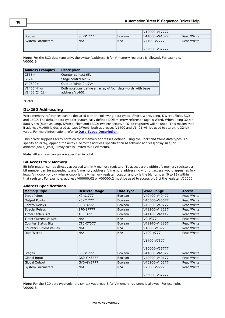|                   |          |         | V10000-V17777 |            |
|-------------------|----------|---------|---------------|------------|
| <b>Stages</b>     | S0-S1777 | Boolean | V41000-V41077 | Read/Write |
| System Parameters | N/A      | N/A     | V7400-V7777   | Read/Write |
|                   |          |         | V37000-V37777 |            |

**Note:** For the BCD data type only, the syntax Vaddress:B for V memory registers is allowed. For example, V0000:B.

| <b>Address Examples</b>    | <b>Description</b>                                                            |
|----------------------------|-------------------------------------------------------------------------------|
| CT65>                      | Counter contact 65.                                                           |
| S57>                       | Stage control bit 57.                                                         |
| V40500>                    | Output Points 0-17.*                                                          |
| V1400[4] or<br>V1400[2][2] | Both notations define an array of four data words with base<br>address V1400. |

<span id="page-17-0"></span>\*Octal.

# **DL-260 Addressing**

Word memory references can be declared with the following data types: Short, Word, Long, DWord, Float, BCD and LBCD. The default data type for dynamically defined DDE memory reference tags is Word. When using 32 bit data types (such as Long, DWord, Float and LBCD) two consecutive 16-bit registers will be used. This means that if address V1400 is declared as type DWord, both addresses V1400 and V1401 will be used to store the 32-bit value. For more information, refer to **[Data](#page-11-0) [Types](#page-11-0) [Description](#page-11-0)**.

This driver supports array notation for V memory addresses defined using the Short and Word data types. To specify an array, append the array size to the address specification as follows: address[array size] or address[rows][cols]. Array size is limited to 64 elements.

**Note:** All address ranges are specified in octal.

# **Bit Access to V Memory**

Bit information can be directly accessed within V memory registers. To access a bit within a V memory register, a bit number can be appended to any V memory address. V memory addressing with bit access would appear as follows: V<xxxxx>.<yy> where xxxxx is the V memory register location and yy is the bit number (0 to 15) within that register. For example, address V00000.02 or V00000.2 must be used to access bit 2 of the register V00000.

| <b>Memory Type</b>            | <b>Discrete Range</b> | Data Type      | <b>Word Range</b> | <b>Access</b> |
|-------------------------------|-----------------------|----------------|-------------------|---------------|
| Input Points                  | X0-X1777              | Boolean        | V40400-V40477     | Read/Write    |
| <b>Output Points</b>          | Y0-Y1777              | Boolean        | V40500-V40577     | Read/Write    |
| Control Relays                | C0-C3777              | Boolean        | V40600-V40777     | Read/Write    |
| <b>Special Relays</b>         | SP0-SP777             | Boolean        | V41200-V41237     | Read/Write    |
| <b>Timer Status Bits</b>      | T0-T377               | Boolean        | V41100-V41117     | Read/Write    |
| Timer Current Values          | N/A                   | N/A            | V0-V377           | Read/Write    |
| <b>Counter Status Bits</b>    | CT0-CT377             | <b>Boolean</b> | V41140-V41157     | Read/Write    |
| <b>Counter Current Values</b> | N/A                   | N/A            | V1000-V1377       | Read/Write    |
| Data Words                    | N/A                   | N/A            | V400-V777         | Read/Write    |
|                               |                       |                | V1400-V7377       |               |
|                               |                       |                | V10000-V35777     |               |
| <b>Stages</b>                 | S0-S1777              | Boolean        | V41000-V41077     | Read/Write    |
| Global Input                  | GX0-GX3777            | Boolean        | V40000-V40177     | Read/Write    |
| Global Output                 | GY0-GY3777            | <b>Boolean</b> | V40200-V40377     | Read/Write    |
| <b>System Parameters</b>      | N/A                   | N/A            | V7600-V7777       | Read/Write    |
|                               |                       |                | V36000-V37777     |               |

# **Address Specifications**

**Note:** For the BCD data type only, the syntax Vaddress:B for V memory registers is allowed. For example, V0000:B.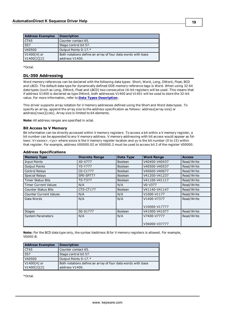| <b>Address Examples</b> | <b>Description</b>                                          |
|-------------------------|-------------------------------------------------------------|
| CT <sub>65</sub>        | Counter contact 65.                                         |
| $\overline{\text{S}57}$ | Stage control bit 57.                                       |
| V40500                  | Output Points 0-17.*                                        |
| V1400[4] or             | Both notations define an array of four data words with base |
| V1400[2][2]             | address V1400.                                              |

<span id="page-18-0"></span>\*Octal.

# **DL-350 Addressing**

Word memory references can be declared with the following data types: Short, Word, Long, DWord, Float, BCD and LBCD. The default data type for dynamically defined DDE memory reference tags is Word. When using 32 bit data types (such as Long, DWord, Float and LBCD) two consecutive 16-bit registers will be used. This means that if address V1400 is declared as type DWord, both addresses V1400 and V1401 will be used to store the 32-bit value. For more information, refer to **[Data](#page-11-0) [Types](#page-11-0) [Description](#page-11-0)**.

This driver supports array notation for V memory addresses defined using the Short and Word data types. To specify an array, append the array size to the address specification as follows: address[array size] or address[rows][cols]. Array size is limited to 64 elements.

**Note:** All address ranges are specified in octal.

#### **Bit Access to V Memory**

Bit information can be directly accessed within V memory registers. To access a bit within a V memory register, a bit number can be appended to any V memory address. V memory addressing with bit access would appear as follows: V<xxxxx>.<yy> where xxxxx is the V memory register location and yy is the bit number (0 to 15) within that register. For example, address V00000.02 or V00000.2 must be used to access bit 2 of the register V00000.

| <b>Memory Type</b>            | <b>Discrete Range</b> | Data Type      | <b>Word Range</b> | <b>Access</b> |
|-------------------------------|-----------------------|----------------|-------------------|---------------|
| <b>Input Points</b>           | X0-X777               | <b>Boolean</b> | V40400-V40437     | Read/Write    |
| <b>Output Points</b>          | Y0-Y777               | Boolean        | V40500-V40537     | Read/Write    |
| Control Relays                | C0-C1777              | Boolean        | V40600-V40677     | Read/Write    |
| <b>Special Relays</b>         | SP0-SP777             | Boolean        | V41200-V41237     | Read/Write    |
| <b>Timer Status Bits</b>      | T0-T377               | <b>Boolean</b> | V41100-V41117     | Read/Write    |
| <b>Timer Current Values</b>   | N/A                   | N/A            | V0-V377           | Read/Write    |
| <b>Counter Status Bits</b>    | CT0-CT177             | Boolean        | V41140-V41147     | Read/Write    |
| <b>Counter Current Values</b> | N/A                   | N/A            | V1000-V1177       | Read/Write    |
| Data Words                    | N/A                   | N/A            | V1400-V7377       | Read/Write    |
|                               |                       |                | V10000-V17777     |               |
| <b>Stages</b>                 | S0-S1777              | Boolean        | V41000-V41077     | Read/Write    |
| <b>System Parameters</b>      | N/A                   | N/A            | V7400-V7777       | Read/Write    |
|                               |                       |                | V36000-V37777     |               |

#### **Address Specifications**

**Note:** For the BCD data type only, the syntax Vaddress:B for V memory registers is allowed. For example, V0000:B.

| <b>Address Examples</b>    | <b>Description</b>                                                            |
|----------------------------|-------------------------------------------------------------------------------|
| CT65                       | Counter contact 65.                                                           |
| S57                        | Stage control bit 57.                                                         |
| V40500                     | Output Points 0-17.*                                                          |
| V1400[4] or<br>V1400[2][2] | Both notations define an array of four data words with base<br>address V1400. |

\*Octal.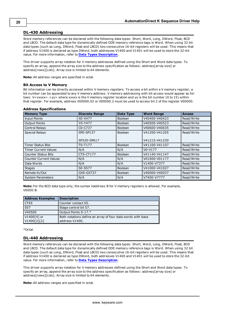# <span id="page-19-0"></span>**DL-430 Addressing**

Word memory references can be declared with the following data types: Short, Word, Long, DWord, Float, BCD and LBCD. The default data type for dynamically defined DDE memory reference tags is Word. When using 32 bit data types (such as Long, DWord, Float and LBCD) two consecutive 16-bit registers will be used. This means that if address V1400 is declared as type DWord, both addresses V1400 and V1401 will be used to store the 32-bit value. For more information, refer to **[Data](#page-11-0) [Types](#page-11-0) [Description](#page-11-0)**.

This driver supports array notation for V memory addresses defined using the Short and Word data types. To specify an array, append the array size to the address specification as follows: address[array size] or address[rows][cols]. Array size is limited to 64 elements.

**Note:** All address ranges are specified in octal.

# **Bit Access to V Memory**

Bit information can be directly accessed within V memory registers. To access a bit within a V memory register, a bit number can be appended to any V memory address. V memory addressing with bit access would appear as follows: V<xxxxx>.<yy> where xxxxx is the V memory register location and yy is the bit number (0 to 15) within that register. For example, address V00000.02 or V00000.2 must be used to access bit 2 of the register V00000.

| <b>Memory Type</b>            | <b>Discrete Range</b>            | Data Type      | <b>Word Range</b> | <b>Access</b> |
|-------------------------------|----------------------------------|----------------|-------------------|---------------|
| <b>Input Points</b>           | X0-X477                          | <b>Boolean</b> | V40400-V40423     | Read/Write    |
| <b>Output Points</b>          | Y0-Y477                          | <b>Boolean</b> | V40500-V40523     | Read/Write    |
| Control Relays                | C <sub>0</sub> -C <sub>737</sub> | <b>Boolean</b> | V40600-V40635     | Read/Write    |
| <b>Special Relays</b>         | SP0-SP137                        | Boolean        | V41200-V41205     | Read/Write    |
|                               | SP320-SP617                      |                | V41215-V41230     |               |
| <b>Timer Status Bits</b>      | T0-T177                          | Boolean        | V41100-V41107     | Read/Write    |
| <b>Timer Current Values</b>   | N/A                              | N/A            | $V0-V177$         | Read/Write    |
| <b>Counter Status Bits</b>    | CT0-CT177                        | <b>Boolean</b> | V41140-V41147     | Read/Write    |
| <b>Counter Current Values</b> | N/A                              | N/A            | V01000-V01177     | Read/Write    |
| Data Words                    | N/A                              | N/A            | V1400-V7377       | Read/Write    |
| <b>Stages</b>                 | S0-S577                          | <b>Boolean</b> | V41000-V41027     | Read/Write    |
| Remote In/Out                 | GX0-GX737                        | <b>Boolean</b> | V40000-V40037     | Read/Write    |
| <b>System Parameters</b>      | N/A                              | N/A            | V7400-V7777       | Read/Write    |

#### **Address Specifications**

**Note:** For the BCD data type only, the syntax Vaddress:B for V memory registers is allowed. For example, V0000:B.

| <b>Address Examples</b> | <b>Description</b>                                          |
|-------------------------|-------------------------------------------------------------|
| CT65                    | Counter contact 65.                                         |
| $\overline{S57}$        | Stage control bit 57.                                       |
| V40500                  | Output Points 0-17.*                                        |
| V1400[4] or             | Both notations define an array of four data words with base |
| V1400[2][2]             | address V1400.                                              |

<span id="page-19-1"></span>\*Octal.

# **DL-440 Addressing**

Word memory references can be declared with the following data types: Short, Word, Long, DWord, Float, BCD and LBCD. The default data type for dynamically defined DDE memory reference tags is Word. When using 32 bit data types (such as Long, DWord, Float and LBCD) two consecutive 16-bit registers will be used. This means that if address V1400 is declared as type DWord, both addresses V1400 and V1401 will be used to store the 32-bit value. For more information, refer to **[Data](#page-11-0) [Types](#page-11-0) [Description](#page-11-0)**.

This driver supports array notation for V memory addresses defined using the Short and Word data types. To specify an array, append the array size to the address specification as follows: address[array size] or address[rows][cols]. Array size is limited to 64 elements.

**Note:** All address ranges are specified in octal.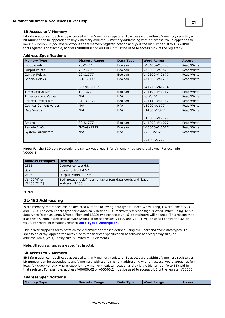#### **Bit Access to V Memory**

Bit information can be directly accessed within V memory registers. To access a bit within a V memory register, a bit number can be appended to any V memory address. V memory addressing with bit access would appear as follows: V<xxxxx>.<yy> where xxxxx is the V memory register location and yy is the bit number (0 to 15) within that register. For example, address V00000.02 or V00000.2 must be used to access bit 2 of the register V00000.

| <b>Memory Type</b>            | <b>Discrete Range</b> | Data Type      | <b>Word Range</b> | <b>Access</b> |
|-------------------------------|-----------------------|----------------|-------------------|---------------|
| <b>Input Points</b>           | X0-X477               | <b>Boolean</b> | V40400-V40423     | Read/Write    |
| <b>Output Points</b>          | Y0-Y477               | <b>Boolean</b> | V40500-V40523     | Read/Write    |
| Control Relays                | C0-C1777              | <b>Boolean</b> | V40600-V40677     | Read/Write    |
| <b>Special Relays</b>         | SP0-SP137             | <b>Boolean</b> | V41200-V41205     | Read/Write    |
|                               | SP320-SP717           |                | V41215-V41234     |               |
| <b>Timer Status Bits</b>      | T0-T377               | Boolean        | V41100-V41117     | Read/Write    |
| <b>Timer Current Values</b>   | N/A                   | N/A            | $V0-V377$         | Read/Write    |
| <b>Counter Status Bits</b>    | CT0-CT177             | <b>Boolean</b> | V41140-V41147     | Read/Write    |
| <b>Counter Current Values</b> | N/A                   | N/A            | V1000-V1177       | Read/Write    |
| Data Words                    | N/A                   | N/A            | V1400-V7377       | Read/Write    |
|                               |                       |                | V10000-V17777     |               |
| <b>Stages</b>                 | S0-S1777              | Boolean        | V41000-V41077     | Read/Write    |
| Remote In/Out                 | GX0-GX1777            | <b>Boolean</b> | V40000-V40077     | Read/Write    |
| <b>System Parameters</b>      | N/A                   | N/A            | V700-V737         | Read/Write    |
|                               |                       |                | V7400-V7777       |               |

#### **Address Specifications**

**Note:** For the BCD data type only, the syntax Vaddress:B for V memory registers is allowed. For example, V0000:B.

| <b>Address Examples</b>    | <b>Description</b>                                                            |
|----------------------------|-------------------------------------------------------------------------------|
| CT65                       | Counter contact 65.                                                           |
| $\overline{S57}$           | Stage control bit 57.                                                         |
| V40500                     | Output Points 0-17.*                                                          |
| V1400[4] or<br>VI400[2][2] | Both notations define an array of four data words with base<br>address V1400. |

<span id="page-20-0"></span>\*Octal.

# **DL-450 Addressing**

Word memory references can be declared with the following data types: Short, Word, Long, DWord, Float, BCD and LBCD. The default data type for dynamically defined DDE memory reference tags is Word. When using 32 bit data types (such as Long, DWord, Float and LBCD) two consecutive 16-bit registers will be used. This means that if address V1400 is declared as type DWord, both addresses V1400 and V1401 will be used to store the 32-bit value. For more information, refer to **[Data](#page-11-0) [Types](#page-11-0) [Description](#page-11-0)**.

This driver supports array notation for V memory addresses defined using the Short and Word data types. To specify an array, append the array size to the address specification as follows: address[array size] or address[rows][cols]. Array size is limited to 64 elements.

**Note:** All address ranges are specified in octal.

#### **Bit Access to V Memory**

Bit information can be directly accessed within V memory registers. To access a bit within a V memory register, a bit number can be appended to any V memory address. V memory addressing with bit access would appear as follows: V<xxxxx>.<yy> where xxxxx is the V memory register location and yy is the bit number (0 to 15) within that register. For example, address V00000.02 or V00000.2 must be used to access bit 2 of the register V00000.

#### **Address Specifications**

|  | <b>Memory Type</b> | <b>Discrete Range</b> | Data Type | <b>Word Range</b> | <b>Access</b> |
|--|--------------------|-----------------------|-----------|-------------------|---------------|
|--|--------------------|-----------------------|-----------|-------------------|---------------|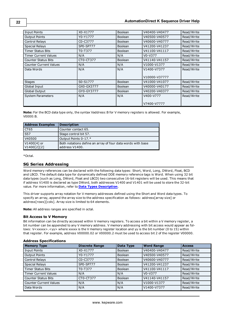| <b>Input Points</b>           | X0-X1777   | <b>Boolean</b> | V40400-V40477 | Read/Write |
|-------------------------------|------------|----------------|---------------|------------|
| <b>Output Points</b>          | Y0-Y1777   | <b>Boolean</b> | V40500-V40577 | Read/Write |
| Control Relays                | C0-C3777   | <b>Boolean</b> | V40600-V40777 | Read/Write |
| <b>Special Relays</b>         | SP0-SP777  | <b>Boolean</b> | V41200-V41237 | Read/Write |
| <b>Timer Status Bits</b>      | T0-T377    | <b>Boolean</b> | V41100-V41117 | Read/Write |
| <b>Timer Current Values</b>   | N/A        | N/A            | V0-V377       | Read/Write |
| <b>Counter Status Bits</b>    | CT0-CT377  | <b>Boolean</b> | V41140-V41157 | Read/Write |
| <b>Counter Current Values</b> | N/A        | N/A            | V1000-V1377   | Read/Write |
| Data Words                    | N/A        | N/A            | V1400-V7377   | Read/Write |
|                               |            |                | V10000-V37777 |            |
| <b>Stages</b>                 | S0-S1777   | <b>Boolean</b> | V41000-V41077 | Read/Write |
| Global Input                  | GX0-GX3777 | <b>Boolean</b> | V40000-V40177 | Read/Write |
| Global Output                 | GY0-GY3777 | Boolean        | V40200-V40377 | Read/Write |
| <b>System Parameters</b>      | N/A        | N/A            | V400-V777     | Read/Write |
|                               |            |                | V7400-V7777   |            |

**Note:** For the BCD data type only, the syntax Vaddress:B for V memory registers is allowed. For example, V0000:B.

| <b>Address Examples</b>      | <b>Description</b>                                                            |
|------------------------------|-------------------------------------------------------------------------------|
| CT65                         | Counter contact 65.                                                           |
| $\overline{S57}$             | Stage control bit 57.                                                         |
| V40500                       | Output Points 0-17.*                                                          |
| $V1400[4]$ or<br>V1400[2][2] | Both notations define an array of four data words with base<br>address V1400. |

<span id="page-21-0"></span>\*Octal.

# **SG Series Addressing**

Word memory references can be declared with the following data types: Short, Word, Long, DWord, Float, BCD and LBCD. The default data type for dynamically defined DDE memory reference tags is Word. When using 32 bit data types (such as Long, DWord, Float and LBCD) two consecutive 16-bit registers will be used. This means that if address V1400 is declared as type DWord, both addresses V1400 and V1401 will be used to store the 32-bit value. For more information, refer to **[Data](#page-11-0) [Types](#page-11-0) [Description](#page-11-0)**.

This driver supports array notation for V memory addresses defined using the Short and Word data types. To specify an array, append the array size to the address specification as follows: address[array size] or address[rows][cols]. Array size is limited to 64 elements.

**Note:** All address ranges are specified in octal.

# **Bit Access to V Memory**

Bit information can be directly accessed within V memory registers. To access a bit within a V memory register, a bit number can be appended to any V memory address. V memory addressing with bit access would appear as follows: V<xxxxx>.<yy> where xxxxx is the V memory register location and yy is the bit number (0 to 15) within that register. For example, address V00000.02 or V00000.2 must be used to access bit 2 of the register V00000.

| <b>Memory Type</b>            | <b>Discrete Range</b> | Data Type      | <b>Word Range</b> | <b>Access</b> |
|-------------------------------|-----------------------|----------------|-------------------|---------------|
| Input Points                  | X0-X1777              | <b>Boolean</b> | V40400-V40477     | Read/Write    |
| <b>Output Points</b>          | Y0-Y1777              | Boolean        | V40500-V40577     | Read/Write    |
| Control Relays                | C0-C3777              | <b>Boolean</b> | V40600-V40777     | Read/Write    |
| <b>Special Relays</b>         | SP0-SP777             | Boolean        | V41200-V41237     | Read/Write    |
| <b>Timer Status Bits</b>      | T0-T377               | Boolean        | V41100-V41117     | Read/Write    |
| <b>Timer Current Values</b>   | N/A                   | N/A            | $V0-V377$         | Read/Write    |
| <b>Counter Status Bits</b>    | CT0-CT377             | Boolean        | V41140-V41157     | Read/Write    |
| <b>Counter Current Values</b> | N/A                   | N/A            | V1000-V1377       | Read/Write    |
| Data Words                    | N/A                   | N/A            | V1400-V7377       | Read/Write    |

# **Address Specifications**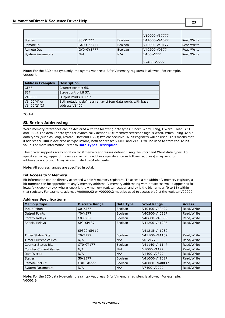|                          |            |                | V10000-V37777 |            |
|--------------------------|------------|----------------|---------------|------------|
| <b>Stages</b>            | S0-S1777   | <b>Boolean</b> | V41000-V41077 | Read/Write |
| Remote In                | GX0-GX3777 | Boolean        | V40000-V40177 | Read/Write |
| Remote Out               | GY0-GY3777 | Boolean        | V40200-V0377  | Read/Write |
| <b>System Parameters</b> | N/A        | N/A            | V400-V777     | Read/Write |
|                          |            |                | V7400-V7777   |            |

**Note:** For the BCD data type only, the syntax Vaddress:B for V memory registers is allowed. For example, V0000:B.

| <b>Address Examples</b> | <b>Description</b>                                          |
|-------------------------|-------------------------------------------------------------|
| CT65                    | Counter contact 65.                                         |
| $\overline{\text{S}57}$ | Stage control bit 57.                                       |
| V40500                  | Output Points 0-17.*                                        |
| V1400[4] or             | Both notations define an array of four data words with base |
| V1400[2][2]             | address V1400.                                              |

<span id="page-22-0"></span>\*Octal.

# **SL Series Addressing**

Word memory references can be declared with the following data types: Short, Word, Long, DWord, Float, BCD and LBCD. The default data type for dynamically defined DDE memory reference tags is Word. When using 32 bit data types (such as Long, DWord, Float and LBCD) two consecutive 16-bit registers will be used. This means that if address V1400 is declared as type DWord, both addresses V1400 and V1401 will be used to store the 32-bit value. For more information, refer to **[Data](#page-11-0) [Types](#page-11-0) [Description](#page-11-0)**.

This driver supports array notation for V memory addresses defined using the Short and Word data types. To specify an array, append the array size to the address specification as follows: address[array size] or address[rows][cols]. Array size is limited to 64 elements.

**Note:** All address ranges are specified in octal.

# **Bit Access to V Memory**

Bit information can be directly accessed within V memory registers. To access a bit within a V memory register, a bit number can be appended to any V memory address. V memory addressing with bit access would appear as follows: V<xxxxx>.<yy> where xxxxx is the V memory register location and yy is the bit number (0 to 15) within that register. For example, address V00000.02 or V00000.2 must be used to access bit 2 of the register V00000.

| <b>Memory Type</b>            | <b>Discrete Range</b>            | Data Type      | <b>Word Range</b> | <b>Access</b> |
|-------------------------------|----------------------------------|----------------|-------------------|---------------|
| <b>Input Points</b>           | X0-X577                          | Boolean        | V40400-V40427     | Read/Write    |
| <b>Output Points</b>          | Y0-Y577                          | Boolean        | V40500-V40527     | Read/Write    |
| Control Relays                | C <sub>0</sub> -C <sub>737</sub> | <b>Boolean</b> | V40600-V40635     | Read/Write    |
| <b>Special Relays</b>         | SP0-SP137                        | Boolean        | V41200-V41205     | Read/Write    |
|                               | SP320-SP617                      |                | V41215-V41230     |               |
| <b>Timer Status Bits</b>      | T0-T177                          | Boolean        | V41100-V41107     | Read/Write    |
| <b>Timer Current Values</b>   | N/A                              | N/A            | $V0-V177$         | Read/Write    |
| <b>Counter Status Bits</b>    | CT0-CT177                        | Boolean        | V41140-V41147     | Read/Write    |
| <b>Counter Current Values</b> | N/A                              | N/A            | V1000-V1177       | Read/Write    |
| Data Words                    | N/A                              | N/A            | V1400-V7377       | Read/Write    |
| <b>Stages</b>                 | S0-S577                          | Boolean        | V41000-V41027     | Read/Write    |
| Remote In/Out                 | GX0-GX777                        | <b>Boolean</b> | V40000--V40037    | Read/Write    |
| <b>System Parameters</b>      | N/A                              | N/A            | V7400-V7777       | Read/Write    |

# **Address Specifications**

**Note:** For the BCD data type only, the syntax Vaddress:B for V memory registers is allowed. For example, V0000:B.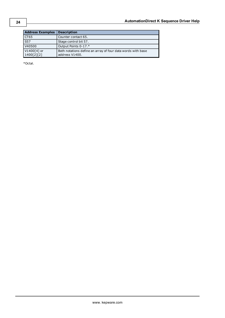\*Octal.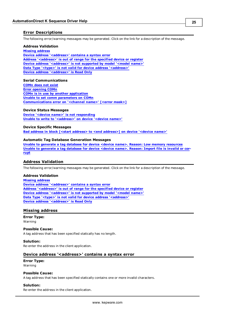# <span id="page-24-0"></span>**Error Descriptions**

The following error/warning messages may be generated. Click on the link for a description of the message.

#### **Address Validation**

**[Missing](#page-24-2) [address](#page-24-2) [Device](#page-24-3) [address](#page-24-3) ['<address>'](#page-24-3) [contains](#page-24-3) [a](#page-24-3) [syntax](#page-24-3) [error](#page-24-3) [Address](#page-25-0) ['<address>'](#page-25-0) [is](#page-25-0) [out](#page-25-0) [of](#page-25-0) [range](#page-25-0) [for](#page-25-0) [the](#page-25-0) [specified](#page-25-0) [device](#page-25-0) [or](#page-25-0) [register](#page-25-0) [Device](#page-25-1) [address](#page-25-1) ['<address>'](#page-25-1) [is](#page-25-1) [not](#page-25-1) [supported](#page-25-1) [by](#page-25-1) [model](#page-25-1) ['<model](#page-25-1) [name>'](#page-25-1) [Data](#page-25-2) [Type](#page-25-2) ['<type>'](#page-25-2) [is](#page-25-2) [not](#page-25-2) [valid](#page-25-2) [for](#page-25-2) [device](#page-25-2) [address](#page-25-2) ['<address>'](#page-25-2) [Device](#page-25-3) [address](#page-25-3) ['<address>'](#page-25-3) [is](#page-25-3) [Read](#page-25-3) [Only](#page-25-3)** 

#### **Serial Communications**

**[COMn](#page-25-5) [does](#page-25-5) [not](#page-25-5) [exist](#page-25-5) [Error](#page-26-0) [opening](#page-26-0) [COMn](#page-26-0) [COMn](#page-26-1) [is](#page-26-1) [in](#page-26-1) [use](#page-26-1) [by](#page-26-1) [another](#page-26-1) [application](#page-26-1) [Unable](#page-26-2) [to](#page-26-2) [set](#page-26-2) [comm](#page-26-2) [parameters](#page-26-2) [on](#page-26-2) [COMn](#page-26-2) [Communications](#page-26-3) [error](#page-26-3) [on](#page-26-3) ['<channel](#page-26-3) [name>'](#page-26-3) [\[<error](#page-26-3) [mask>\]](#page-26-3)**

#### **Device Status Messages**

**[Device](#page-27-0) ['<device](#page-27-0) [name>'](#page-27-0) [is](#page-27-0) [not](#page-27-0) [responding](#page-27-0) [Unable](#page-27-1) [to](#page-27-1) [write](#page-27-1) [to](#page-27-1) ['<address>'](#page-27-1) [on](#page-27-1) [device](#page-27-1) ['<device](#page-27-1) [name>'](#page-27-1)**

#### **Device Specific Messages**

**[Bad](#page-27-3) [address](#page-27-3) [in](#page-27-3) [block](#page-27-3) [\[<start](#page-27-3) [address>](#page-27-3) [to](#page-27-3) [<end](#page-27-3) [address>\]](#page-27-3) [on](#page-27-3) [device](#page-27-3) ['<device](#page-27-3) [name>'](#page-27-3)**

#### **Automatic Tag Database Generation Messages**

**[Unable](#page-28-0) [to](#page-28-0) [generate](#page-28-0) [a](#page-28-0) [tag](#page-28-0) [database](#page-28-0) [for](#page-28-0) [device](#page-28-0) [<device](#page-28-0) [name>.](#page-28-0) [Reason:](#page-28-0) [Low](#page-28-0) [memory](#page-28-0) [resources](#page-28-0) [Unable](#page-28-1) [to](#page-28-1) [generate](#page-28-1) [a](#page-28-1) [tag](#page-28-1) [database](#page-28-1) [for](#page-28-1) [device](#page-28-1) [<device](#page-28-1) [name>.](#page-28-1) [Reason:](#page-28-1) [Import](#page-28-1) [file](#page-28-1) [is](#page-28-1) [invalid](#page-28-1) [or](#page-28-1) [cor](#page-28-1)[rupt](#page-28-1)**

# <span id="page-24-1"></span>**Address Validation**

The following error/warning messages may be generated. Click on the link for a description of the message.

#### **Address Validation**

**[Missing](#page-24-2) [address](#page-24-2) [Device](#page-24-3) [address](#page-24-3) ['<address>'](#page-24-3) [contains](#page-24-3) [a](#page-24-3) [syntax](#page-24-3) [error](#page-24-3) [Address](#page-25-0) ['<address>'](#page-25-0) [is](#page-25-0) [out](#page-25-0) [of](#page-25-0) [range](#page-25-0) [for](#page-25-0) [the](#page-25-0) [specified](#page-25-0) [device](#page-25-0) [or](#page-25-0) [register](#page-25-0) [Device](#page-25-1) [address](#page-25-1) ['<address>'](#page-25-1) [is](#page-25-1) [not](#page-25-1) [supported](#page-25-1) [by](#page-25-1) [model](#page-25-1) ['<model](#page-25-1) [name>'](#page-25-1) [Data](#page-25-2) [Type](#page-25-2) ['<type>'](#page-25-2) [is](#page-25-2) [not](#page-25-2) [valid](#page-25-2) [for](#page-25-2) [device](#page-25-2) [address](#page-25-2) ['<address>'](#page-25-2) [Device](#page-25-3) [address](#page-25-3) ['<address>'](#page-25-3) [is](#page-25-3) [Read](#page-25-3) [Only](#page-25-3)** 

# <span id="page-24-2"></span>**Missing address**

# **Error Type:**

Warning

#### **Possible Cause:**

A tag address that has been specified statically has no length.

#### **Solution:**

<span id="page-24-3"></span>Re-enter the address in the client application.

# Device address '<address>' contains a syntax error

#### **Error Type:** Warning

# **Possible Cause:**

A tag address that has been specified statically contains one or more invalid characters.

#### **Solution:**

Re-enter the address in the client application.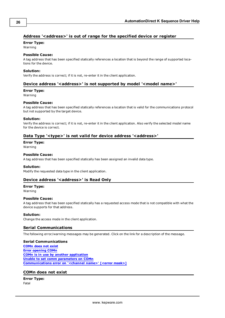# <span id="page-25-0"></span>**Address '<address>' is out of range for the specified device or register**

# **Error Type:**

Warning

# **Possible Cause:**

A tag address that has been specified statically references a location that is beyond the range of supported locations for the device.

# **Solution:**

<span id="page-25-1"></span>Verify the address is correct; if it is not, re-enter it in the client application.

# Device address '<address>' is not supported by model '<model name>'

# **Error Type:**

Warning

# **Possible Cause:**

A tag address that has been specified statically references a location that is valid for the communications protocol but not supported by the target device.

#### **Solution:**

Verify the address is correct; if it is not, re-enter it in the client application. Also verify the selected model name for the device is correct.

# <span id="page-25-2"></span>Data Type '<type>' is not valid for device address '<address>'

# **Error Type:**

Warning

# **Possible Cause:**

A tag address that has been specified statically has been assigned an invalid data type.

# **Solution:**

<span id="page-25-3"></span>Modify the requested data type in the client application.

# **Device address '<address>' is Read Only**

# **Error Type:**

Warning

# **Possible Cause:**

A tag address that has been specified statically has a requested access mode that is not compatible with what the device supports for that address.

# **Solution:**

<span id="page-25-4"></span>Change the access mode in the client application.

# **Serial Communications**

The following error/warning messages may be generated. Click on the link for a description of the message.

# **Serial Communications**

**[COMn](#page-25-5) [does](#page-25-5) [not](#page-25-5) [exist](#page-25-5) [Error](#page-26-0) [opening](#page-26-0) [COMn](#page-26-0) [COMn](#page-26-1) [is](#page-26-1) [in](#page-26-1) [use](#page-26-1) [by](#page-26-1) [another](#page-26-1) [application](#page-26-1) [Unable](#page-26-2) [to](#page-26-2) [set](#page-26-2) [comm](#page-26-2) [parameters](#page-26-2) [on](#page-26-2) [COMn](#page-26-2) [Communications](#page-26-3) [error](#page-26-3) [on](#page-26-3) ['<channel](#page-26-3) [name>'](#page-26-3) [\[<error](#page-26-3) [mask>\]](#page-26-3)**

# <span id="page-25-5"></span>**COMn does not exist**

**Error Type:** Fatal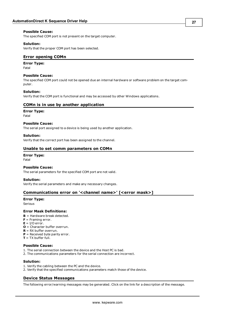#### **Possible Cause:**

The specified COM port is not present on the target computer.

#### **Solution:**

<span id="page-26-0"></span>Verify that the proper COM port has been selected.

# **Error opening COMn**

#### **Error Type:**

Fatal

#### **Possible Cause:**

The specified COM port could not be opened due an internal hardware or software problem on the target computer.

#### **Solution:**

<span id="page-26-1"></span>Verify that the COM port is functional and may be accessed by other Windows applications.

#### **COMn is in use by another application**

# **Error Type:**

Fatal

# **Possible Cause:**

The serial port assigned to a device is being used by another application.

#### **Solution:**

<span id="page-26-2"></span>Verify that the correct port has been assigned to the channel.

#### **Unable to set comm parameters on COMn**

#### **Error Type:** Fatal

#### **Possible Cause:**

The serial parameters for the specified COM port are not valid.

#### **Solution:**

<span id="page-26-3"></span>Verify the serial parameters and make any necessary changes.

#### **Communications error on '<channel name>' [<error mask>]**

#### **Error Type:**

Serious

#### **Error Mask Definitions:**

- <span id="page-26-5"></span>**B** = Hardware break detected.
- **F** = Framing error.
- <span id="page-26-6"></span> $E = I/O$  error.
- **O** = Character buffer overrun.
- <span id="page-26-7"></span>**R** = RX buffer overrun.
- **P** = Received byte parity error.
- **T** = TX buffer full.

#### **Possible Cause:**

- 1. The serial connection between the device and the Host PC is bad.
- 2. The communications parameters for the serial connection are incorrect.

#### **Solution:**

- 1. Verify the cabling between the PC and the device.
- <span id="page-26-4"></span>2. Verify that the specified communications parameters match those of the device.

# **Device Status Messages**

The following error/warning messages may be generated. Click on the link for a description of the message.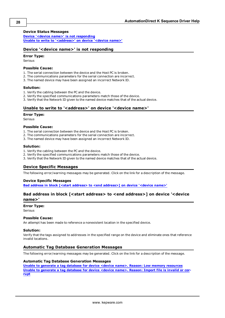# **Device Status Messages**

**[Device](#page-27-0) ['<device](#page-27-0) [name>'](#page-27-0) [is](#page-27-0) [not](#page-27-0) [responding](#page-27-0) [Unable](#page-27-1) [to](#page-27-1) [write](#page-27-1) [to](#page-27-1) ['<address>'](#page-27-1) [on](#page-27-1) [device](#page-27-1) ['<device](#page-27-1) [name>'](#page-27-1)**

# <span id="page-27-0"></span>**Device '<device name>' is not responding**

#### **Error Type:**

Serious

# **Possible Cause:**

- 1. The serial connection between the device and the Host PC is broken.
- 2. The communications parameters for the serial connection are incorrect.
- 3. The named device may have been assigned an incorrect Network ID.

#### **Solution:**

- 1. Verify the cabling between the PC and the device.
- 2. Verify the specified communications parameters match those of the device.
- <span id="page-27-1"></span>3. Verify that the Network ID given to the named device matches that of the actual device.

# Unable to write to '<address>' on device '<device name>'

#### **Error Type:**

Serious

#### **Possible Cause:**

- 1. The serial connection between the device and the Host PC is broken.
- 2. The communications parameters for the serial connection are incorrect.
- 3. The named device may have been assigned an incorrect Network ID.

#### **Solution:**

- 1. Verify the cabling between the PC and the device.
- 2. Verify the specified communications parameters match those of the device.
- <span id="page-27-2"></span>3. Verify that the Network ID given to the named device matches that of the actual device.

# **Device Specific Messages**

The following error/warning messages may be generated. Click on the link for a description of the message.

#### **Device Specific Messages**

<span id="page-27-3"></span>**[Bad](#page-27-3) [address](#page-27-3) [in](#page-27-3) [block](#page-27-3) [\[<start](#page-27-3) [address>](#page-27-3) [to](#page-27-3) [<end](#page-27-3) [address>\]](#page-27-3) [on](#page-27-3) [device](#page-27-3) ['<device](#page-27-3) [name>'](#page-27-3)**

# **Bad address in block [<start address> to <end address>] on device '<device name>'**

# **Error Type:**

Serious

#### **Possible Cause:**

An attempt has been made to reference a nonexistent location in the specified device.

#### **Solution:**

Verify that the tags assigned to addresses in the specified range on the device and eliminate ones that reference invalid locations.

# <span id="page-27-4"></span>**Automatic Tag Database Generation Messages**

<span id="page-27-5"></span>The following error/warning messages may be generated. Click on the link for a description of the message.

#### **Automatic Tag Database Generation Messages**

**[Unable](#page-28-0) [to](#page-28-0) [generate](#page-28-0) [a](#page-28-0) [tag](#page-28-0) [database](#page-28-0) [for](#page-28-0) [device](#page-28-0) [<device](#page-28-0) [name>.](#page-28-0) [Reason:](#page-28-0) [Low](#page-28-0) [memory](#page-28-0) [resources](#page-28-0) [Unable](#page-28-1) [to](#page-28-1) [generate](#page-28-1) [a](#page-28-1) [tag](#page-28-1) [database](#page-28-1) [for](#page-28-1) [device](#page-28-1) [<device](#page-28-1) [name>.](#page-28-1) [Reason:](#page-28-1) [Import](#page-28-1) [file](#page-28-1) [is](#page-28-1) [invalid](#page-28-1) [or](#page-28-1) [cor](#page-28-1)[rupt](#page-28-1)**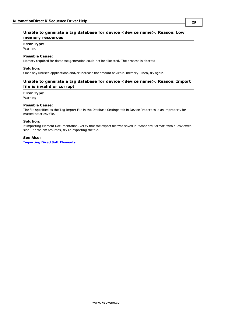# <span id="page-28-0"></span>**Error Type:**

Warning

# **Possible Cause:**

Memory required for database generation could not be allocated. The process is aborted.

# **Solution:**

<span id="page-28-1"></span>Close any unused applications and/or increase the amount of virtual memory. Then, try again.

# **Unable to generate a tag database for device <device name>. Reason: Import file is invalid or corrupt**

# **Error Type:**

Warning

# **Possible Cause:**

The file specified as the Tag Import File in the Database Settings tab in Device Properties is an improperly formatted txt or csv file.

# **Solution:**

If importing Element Documentation, verify that the export file was saved in "Standard Format" with a .csv extension. If problem resumes, try re-exporting the file.

# **See Also:**

**[Importing](#page-7-3) [DirectSoft](#page-7-3) [Elements](#page-7-3)**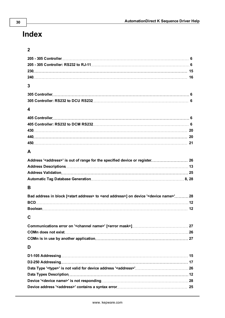# <span id="page-29-0"></span>**Index**

| 3                                                                                                                    |  |
|----------------------------------------------------------------------------------------------------------------------|--|
|                                                                                                                      |  |
|                                                                                                                      |  |
| 4                                                                                                                    |  |
|                                                                                                                      |  |
|                                                                                                                      |  |
|                                                                                                                      |  |
|                                                                                                                      |  |
|                                                                                                                      |  |
| A                                                                                                                    |  |
|                                                                                                                      |  |
|                                                                                                                      |  |
|                                                                                                                      |  |
|                                                                                                                      |  |
| В                                                                                                                    |  |
| Bad address in block [ <start address=""> to <end address="">] on device '<device name="">'28</device></end></start> |  |
|                                                                                                                      |  |
|                                                                                                                      |  |
| C                                                                                                                    |  |
|                                                                                                                      |  |
|                                                                                                                      |  |
|                                                                                                                      |  |
| D                                                                                                                    |  |
|                                                                                                                      |  |
|                                                                                                                      |  |
|                                                                                                                      |  |
|                                                                                                                      |  |
|                                                                                                                      |  |
|                                                                                                                      |  |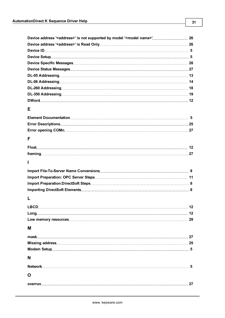| Device address ' <address>' is not supported by model '<model name="">' 26</model></address> |  |
|----------------------------------------------------------------------------------------------|--|
|                                                                                              |  |
|                                                                                              |  |
|                                                                                              |  |
|                                                                                              |  |
|                                                                                              |  |
|                                                                                              |  |
|                                                                                              |  |
|                                                                                              |  |
|                                                                                              |  |
|                                                                                              |  |
| Е                                                                                            |  |
|                                                                                              |  |
|                                                                                              |  |
|                                                                                              |  |
| F                                                                                            |  |
|                                                                                              |  |
|                                                                                              |  |
| Н                                                                                            |  |
|                                                                                              |  |
|                                                                                              |  |
|                                                                                              |  |
|                                                                                              |  |
| Ι.                                                                                           |  |
|                                                                                              |  |
|                                                                                              |  |
|                                                                                              |  |

# **M**

| N |  |
|---|--|
|   |  |
| O |  |
|   |  |